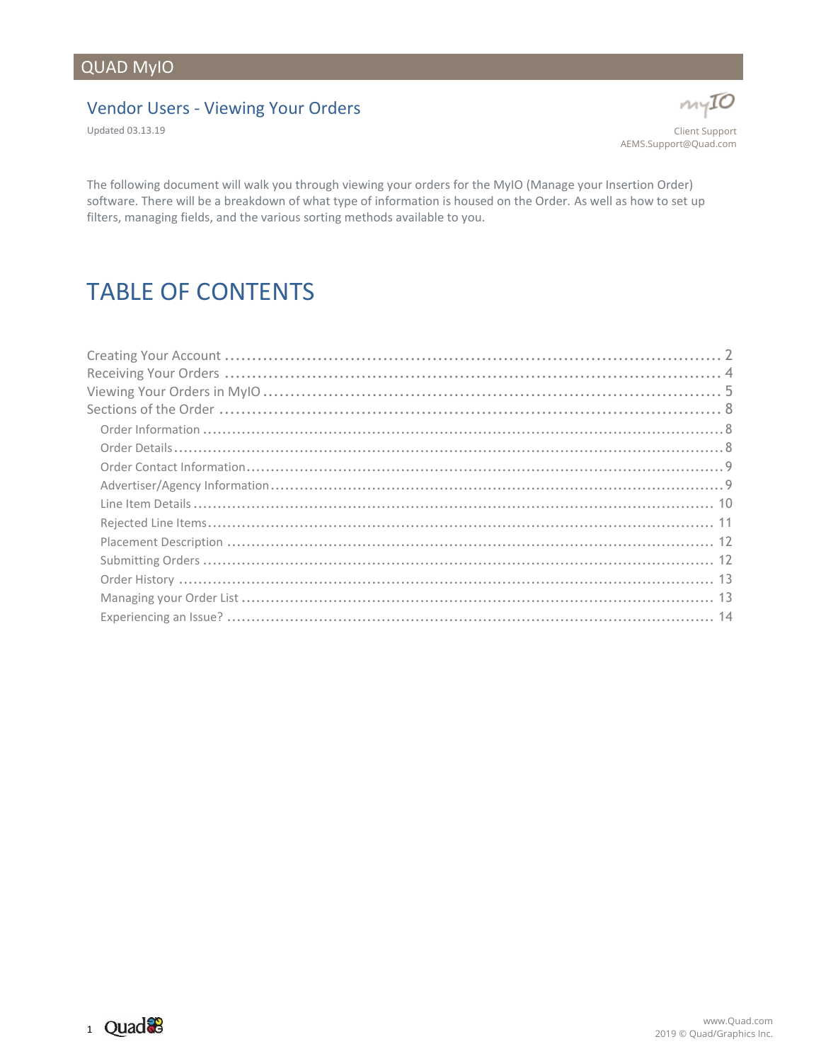# QUAD MyIO

#### Vendor Users - Viewing Your Orders

Updated 03.13.19



The following document will walk you through viewing your orders for the MyIO (Manage your Insertion Order) software. There will be a breakdown of what type of information is housed on the Order. As well as how to set up filters, managing fields, and the various sorting methods available to you.

# TABLE OF CONTENTS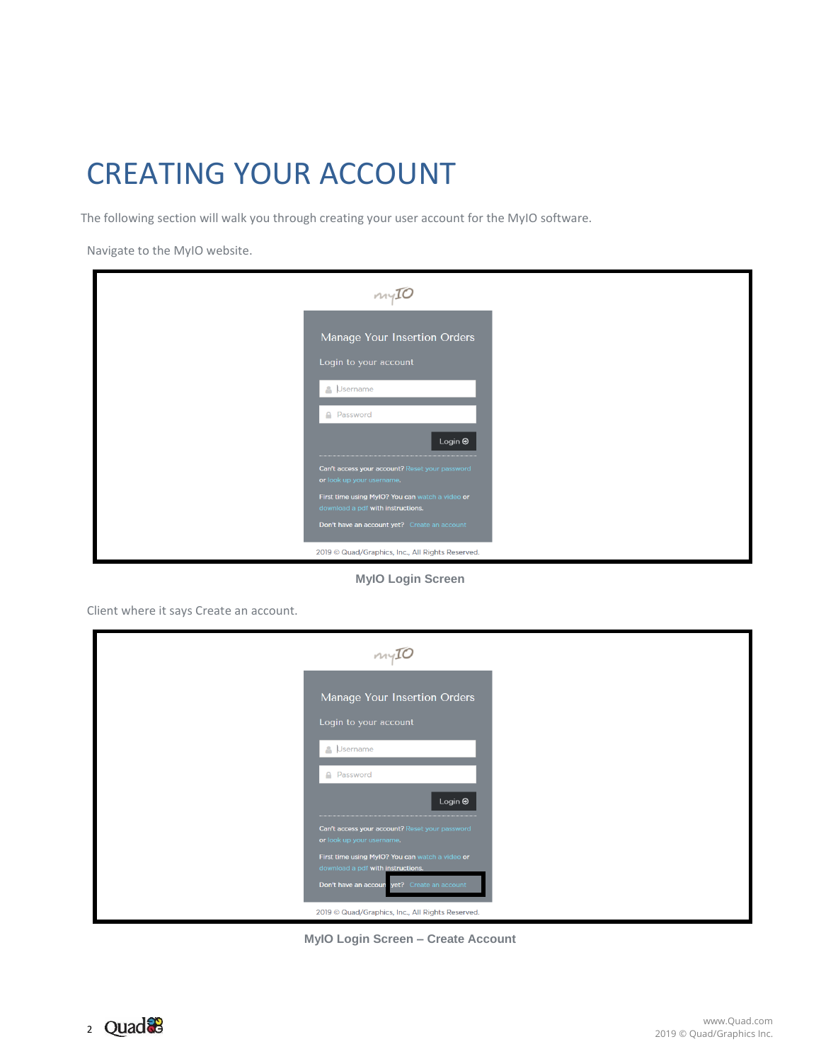# <span id="page-1-0"></span>CREATING YOUR ACCOUNT

The following section will walk you through creating your user account for the MyIO software.

Navigate to the MyIO website.

**MyIO Login Screen**

Client where it says Create an account.

**MyIO Login Screen – Create Account**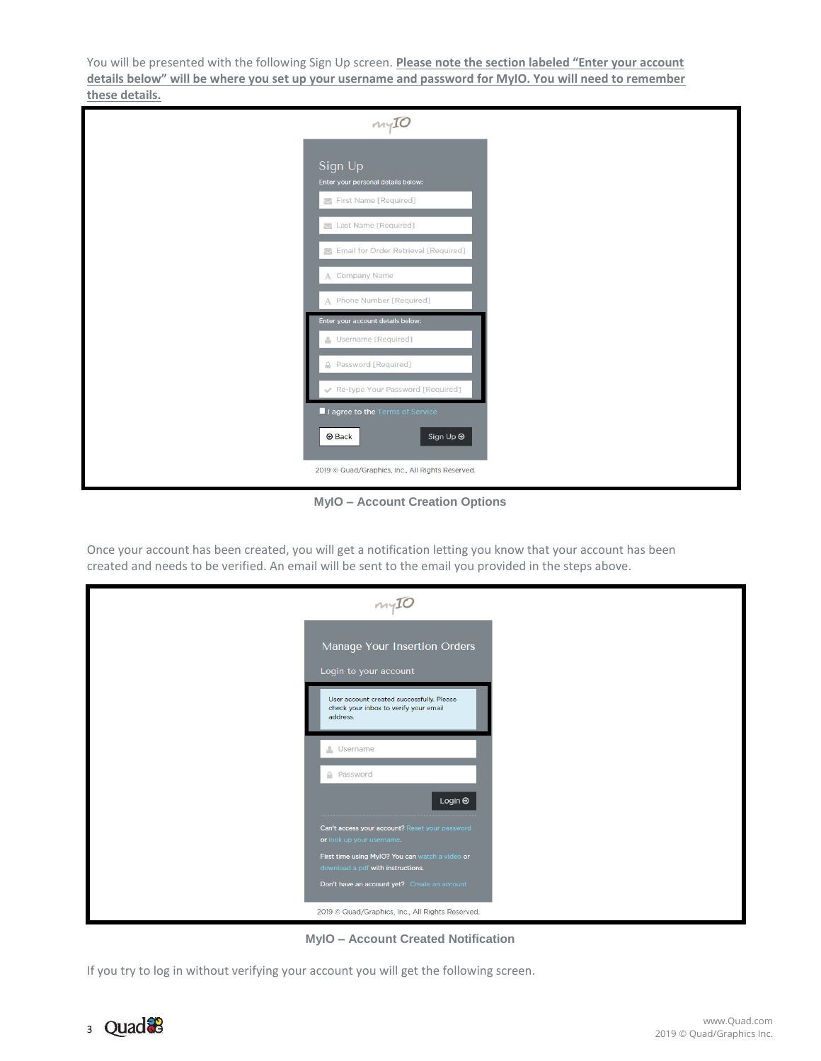You will be presented with the following Sign Up screen. **Please note the section labeled "Enter your account details below" will be where you set up your username and password for MyIO. You will need to remember these details.**

| $m\gamma$ IO                                                           |  |
|------------------------------------------------------------------------|--|
| Sign Up<br>Enter your personal details below:<br>First Name [Required] |  |
| Last Name [Required]                                                   |  |
| Email for Order Retrieval [Required]<br>A Company Name                 |  |
| A Phone Number [Required]                                              |  |
| Enter your account details below:<br>Username [Required]               |  |
| <b>4</b> Password [Required]                                           |  |
| Re-type Your Password [Required]<br>I I agree to the Terms of Service  |  |
| <b>O</b> Back<br>Sign Up $\Theta$                                      |  |
| 2019 @ Quad/Graphics, Inc., All Rights Reserved.                       |  |

**MyIO – Account Creation Options**

Once your account has been created, you will get a notification letting you know that your account has been created and needs to be verified. An email will be sent to the email you provided in the steps above.

| myIO                                                                                           |
|------------------------------------------------------------------------------------------------|
| Manage Your Insertion Orders<br>Login to your account                                          |
| User account created successfully. Please<br>check your inbox to verify your email<br>address. |
| <b>A</b> Username                                                                              |
| <b>A</b> Password                                                                              |
| Login $\Theta$                                                                                 |
| Can't access your account? Reset your password<br>or look up your username.                    |
| First time using MyIO? You can watch a video or<br>download a pdf with instructions.           |
| Don't have an account yet? Create an account                                                   |
| 2019 © Quad/Graphics, Inc., All Rights Reserved.                                               |

**MyIO – Account Created Notification**

If you try to log in without verifying your account you will get the following screen.

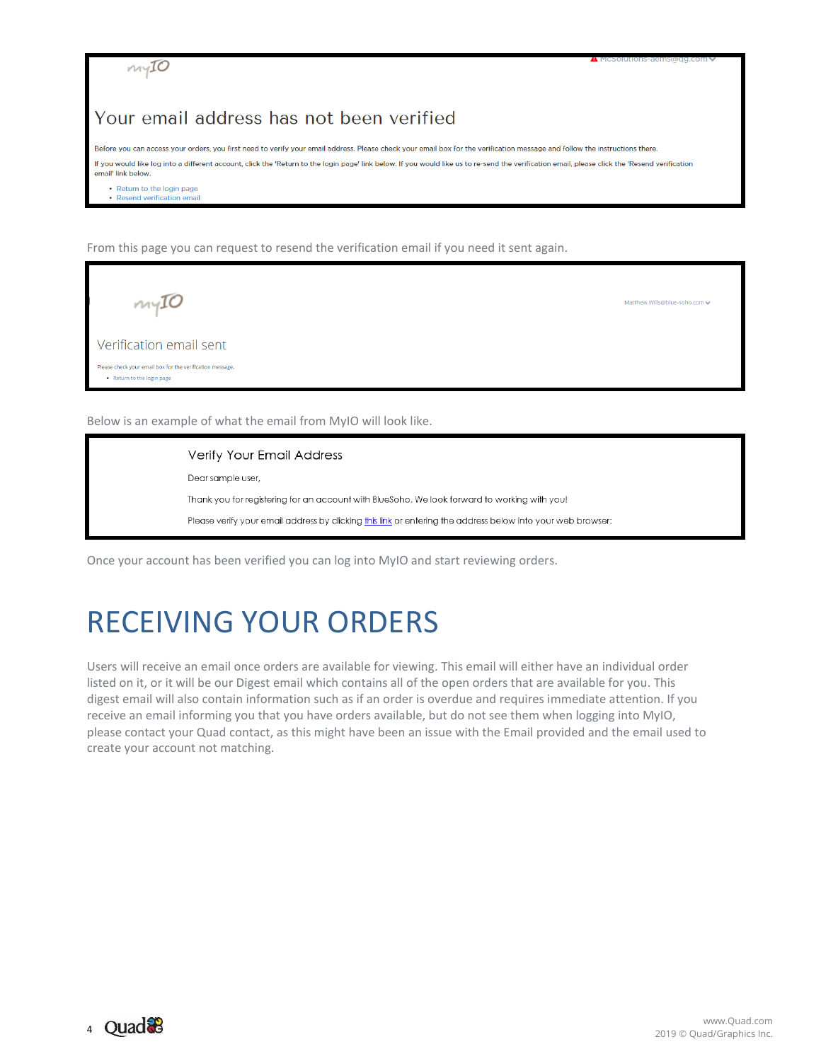

#### Your email address has not been verified

Before you can access your orders, you first need to verify your email address. Please check your email box for the verification message and follow the instructions there. If you would like log into a different account, click the 'Return to the login page' link below. If you would like us to re-send the verification email, please click the 'Resend verification email' link below

· Return to the login page

From this page you can request to resend the verification email if you need it sent again.

| myIO                                                                                    | Matthew.Wills@blue-soho.com ↓ |
|-----------------------------------------------------------------------------------------|-------------------------------|
| Verification email sent                                                                 |                               |
| Please check your email box for the verification message.<br>• Return to the login page |                               |
|                                                                                         |                               |

Below is an example of what the email from MyIO will look like.

Verify Your Email Address Dear sample user, Thank you for registering for an account with BlueSoho. We look forward to working with you! Please verify your email address by clicking this link or entering the address below into your web browser:

Once your account has been verified you can log into MyIO and start reviewing orders.

# <span id="page-3-0"></span>RECEIVING YOUR ORDERS

Users will receive an email once orders are available for viewing. This email will either have an individual order listed on it, or it will be our Digest email which contains all of the open orders that are available for you. This digest email will also contain information such as if an order is overdue and requires immediate attention. If you receive an email informing you that you have orders available, but do not see them when logging into MyIO, please contact your Quad contact, as this might have been an issue with the Email provided and the email used to create your account not matching.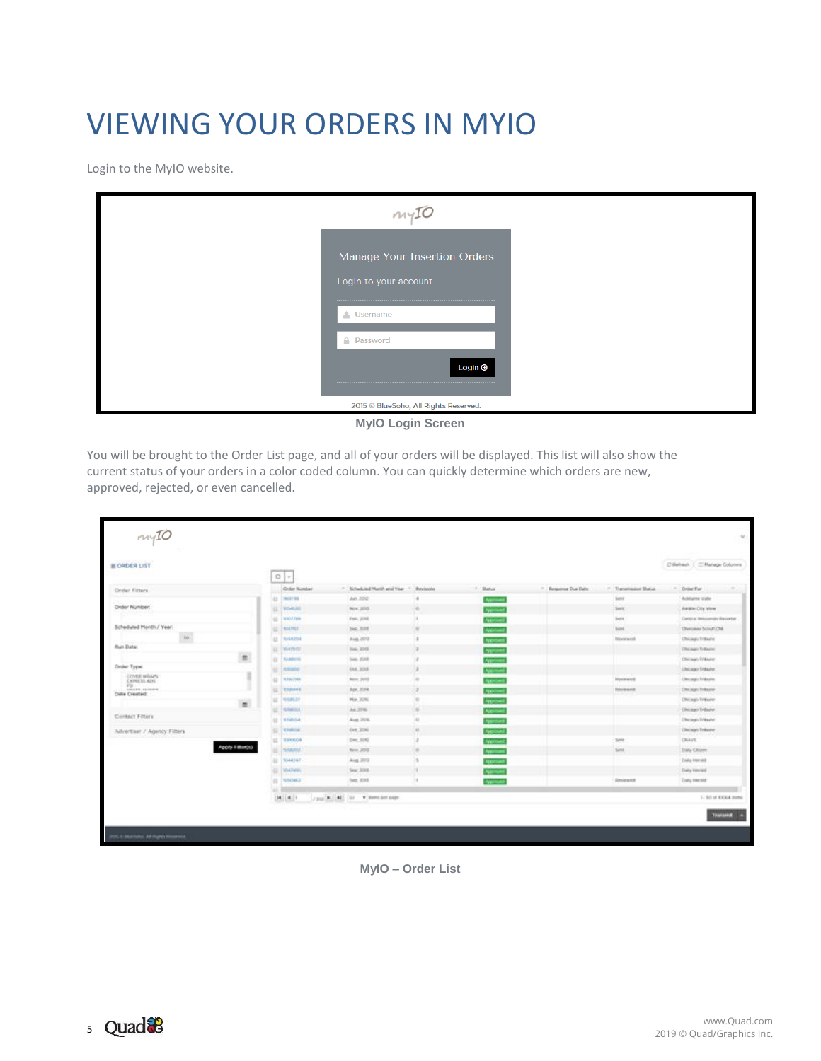# <span id="page-4-0"></span>VIEWING YOUR ORDERS IN MYIO

Login to the MyIO website.

| $m\sqrt{10}$                                          |
|-------------------------------------------------------|
| Manage Your Insertion Orders<br>Login to your account |
| Username                                              |
| A Password<br>Login <b>⊕</b>                          |
| 2015 © BlueSoho, All Rights Reserved.                 |

**MyIO Login Screen**

You will be brought to the Order List page, and all of your orders will be displayed. This list will also show the current status of your orders in a color coded column. You can quickly determine which orders are new, approved, rejected, or even cancelled.

| <b>IL ORDER LIST</b>                      | --<br>0<                                         |                                  |                  |                 |                   |                               | D'Esfrach.   C'Mariage Columns |
|-------------------------------------------|--------------------------------------------------|----------------------------------|------------------|-----------------|-------------------|-------------------------------|--------------------------------|
| Order Filters                             | <b>Croist Number</b>                             | 11. Schwikied Month and Year 11. | <b>Banciscon</b> | P. Status       | Ilessone Due Date | Theremosium Shelvis           | - Croke Far                    |
|                                           | <b>U. MO199</b>                                  | An 202                           |                  | <b>Astrono</b>  |                   | test.                         | Adduits Vate                   |
| Order Number:                             | <b>TELEVIS</b><br>讧                              | Nov. 2015                        | n.               | <b>Allegan</b>  |                   | Santa.                        | AAGN CIty View                 |
|                                           | 02 3307,000                                      | Feb 2011                         |                  | Arthur          |                   | <b>Santa</b>                  | Central Miscomin Essertar      |
| Scheduled Honth / Year)                   | 1914,7923<br>驻                                   | two: 2018.                       | $\sim$           | <b>ABRICA</b>   |                   | <b>Same</b>                   | Cherishes boughzne             |
| <b>MC</b>                                 | 址.<br><b>BIARDS</b>                              | Aug. 2013                        |                  | Approve         |                   | <b>Banderweigh</b>            | Chicago Trikiure               |
| <b>Hun Data:</b>                          | 百 书中市                                            | Test: 2012                       |                  | Algrican        |                   |                               | Christin Triburer              |
| 昌                                         | (2) NAMES                                        | 5ml 2013                         |                  | Archives        |                   |                               | Chicago Friture                |
| Order Type:                               | <b>STATISTIC</b><br>œ                            | $-0.3.200$                       | ×                | <b>Altread</b>  |                   |                               | Chilago Didayle                |
| <b>COVED WOUNTS</b><br><b>EXPRESS ADS</b> | $\langle \downarrow \rangle$ :<br><b>STATIST</b> | Auto: 2010                       | ×                | Approved        |                   | <b>Hinviewed</b>              | Chicago Tridayer               |
| Fill<br>Image comers                      | TOMAG<br>u                                       | Apr. 2014.                       | э                | <b>AVOID</b>    |                   | <b><i><u>Received</u></i></b> | Chicago Triburer               |
| Date Crested:                             | <b>UL NIGHT</b>                                  | Mar. 2016                        | ×                | Angelser        |                   |                               | Chicago Tribune                |
| 置                                         | <b>SAMILE</b><br>u                               | AL306                            | n.               | <b>Algrida</b>  |                   |                               | Christol Trillane              |
| Contact Fitters                           | u<br><b>STARGA</b>                               | Aug. 216                         | $\mathbf{u}$     | Approve         |                   |                               | <b>Ultimage Trideane</b>       |
| Advertiser / Agency Filters               | GL EXAMINE                                       | Ork 206                          | n.               | <b>Ayoutube</b> |                   |                               | Christoph Trakerter            |
|                                           | EL TIMAGOA                                       | Det 3042                         |                  | <b>Nome</b>     |                   | Sent                          | <b>CRAVE</b>                   |
| Apply Filter(t)                           | u<br><b>SAMAL</b>                                | Nov. 200.                        | n.               | <b>Agency</b>   |                   | Santa                         | Daly Chiere                    |
|                                           | <b>U</b> 7044347                                 | Aug. 3113                        |                  | Approve         |                   |                               | <b>Data Hensit</b>             |
|                                           | u<br><b>WALTHER</b>                              | Sept 2003.                       | ٠                | <b>None</b>     |                   |                               | <b>Cuity Henrice</b>           |
|                                           | (I) Show)                                        | Sept. 2013.                      | ×                | <b>Algebra</b>  |                   | Revenued                      | Endig Hercule                  |
|                                           | $ A  = 4$                                        | / public [AE] [M] > (member page |                  |                 |                   |                               | 1 - 50 of 30064 items          |

**MyIO – Order List**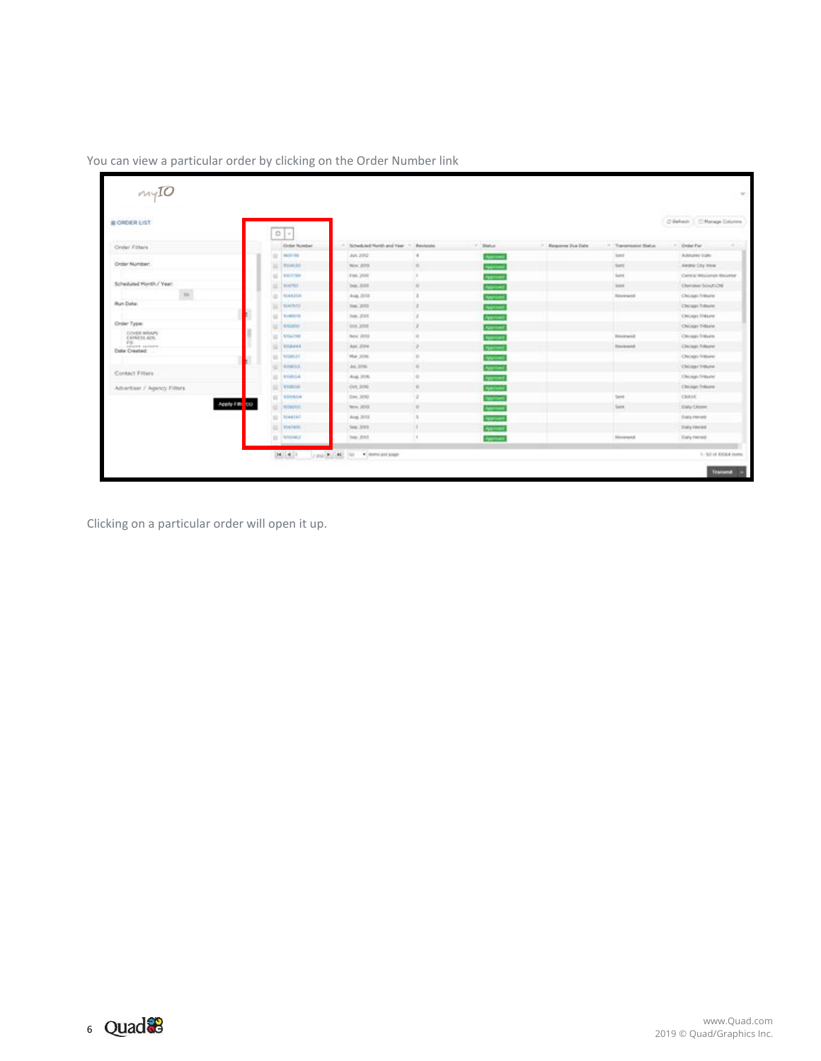| <b>IE ORDER LIST</b>             |               |                             |                                         |               |                     |                   |                    | D'Behach.   Childringe Columns |
|----------------------------------|---------------|-----------------------------|-----------------------------------------|---------------|---------------------|-------------------|--------------------|--------------------------------|
|                                  |               | 0<                          |                                         |               |                     |                   |                    |                                |
| Creter Filters                   |               | Croist Number               | - Scheduled Horizh and Year - Revisions |               | P. Status           | - Besume Due Date | Theremotive Shelve | - Croke Far                    |
| Order Number:                    |               | <b>HE</b><br><b>MAGERIA</b> | An 202                                  |               | Astrono             |                   | <b>Saint</b>       | Address Valley                 |
|                                  |               | <b>TOMAS</b><br>a           | Nov. 2013                               | $\sim$        | <b>Algorithment</b> |                   | Sert.              | ARBN CIty York                 |
| Scheduled Honth / Year)          |               | <b>NIGHTER</b><br>×         | Feb. 2011                               |               | Altrivel            |                   | Santa              | Central Miscomin Essator       |
| <b>kdc</b>                       |               | <b>BIATRE</b><br>٠          | <b>Jeg: 2011</b>                        | ×             | <b>Algebra</b>      |                   | bank               | Chevidens bolautiché           |
| <b>Run Data:</b>                 |               | <b>BIAR2ON</b><br><b>AB</b> | Aug. 2013                               |               | Approved            |                   | <b>Honoranted</b>  | Chicago Tridayer               |
|                                  |               | <b>WATER</b><br>٠           | <b>Sep. 2011</b>                        |               | <b>Algebrad</b>     |                   |                    | Chicago Tribane                |
| Order Type:                      |               | <b>BARBERS</b><br>m         | June 2011                               |               | Astronom            |                   |                    | Chicago Tridure                |
| <b>COVED WEAPS</b>               |               | SLAUSED 1                   | 03.201                                  |               | <b>Altrimat</b>     |                   |                    | Chicago Didayler               |
| <b>EXPRESS ADS</b><br>$F\otimes$ |               | STAUTHS:<br>u               | Nov. 2010                               | ×             | Approved            |                   | <b>Bigwintwood</b> | Chicago Tribane                |
| ANGER CAPAPE<br>Date Crested:    |               | <b>TERMAN</b>               | Apr. 2014                               | $\Rightarrow$ | <b>ASSIMI</b>       |                   | <b>Theoremont</b>  | Chrisen Trikerer               |
|                                  |               | NAME OF<br>u                | PM 20%                                  | ×             | Antoines            |                   |                    | Chicago Tribune                |
| Contact Fitters                  |               | SAMOA                       | AL306                                   | m.            | Altribed            |                   |                    | Christoph Tribuhe              |
|                                  |               | <b>KIVASSA</b><br>u         | Aug. 2016                               | ×             | Approved            |                   |                    | <b>Uhringh Tribune</b>         |
| Advertiser / Agency Filters      |               | <b>TRAIL</b>                | Ork 206                                 | n.            | Alpined             |                   |                    | Christoph Treksurer            |
|                                  | Apply Fill 00 | TIVEDA<br>u                 | Dec. 3042                               |               | <b>Algebra</b>      |                   | Sent               | CRAVE                          |
|                                  |               | <b>SILENE</b>               | New 2013                                | m.            | Associated          |                   | Sente              | Elaty Chinese                  |
|                                  |               | 42.<br>7044347              | Aug. 2012                               |               | Approved            |                   |                    | <b>Data renat</b>              |
|                                  |               | <b>YALTIMES</b><br>a        | Sept. 2013.                             |               | <b>Normal</b>       |                   |                    | <b>Daty Herald</b>             |
|                                  |               | STORICE<br>n                | Sept. 2013.                             |               | <b>Named</b>        |                   | Revenued           | <b>Endy Herse</b>              |

You can view a particular order by clicking on the Order Number link

Clicking on a particular order will open it up.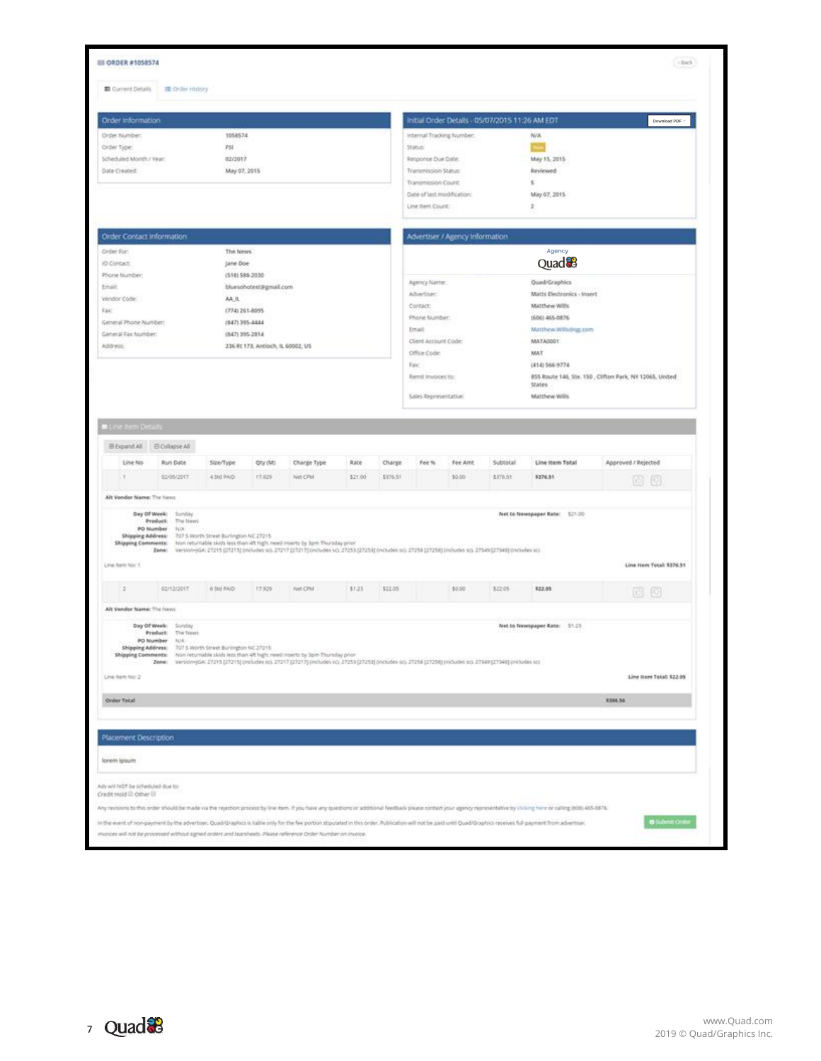| 1058574<br>PSI<br>02/2017<br>May 07, 2015                                                                                                                                 |                                                                                           | Initial Order Details - 05/07/2015 11:26 AM EDT                                                              |                                                                 |                                                                                                                  |                                             | Download PDF                                                                                                                                                                                                                                                                                     |  |  |
|---------------------------------------------------------------------------------------------------------------------------------------------------------------------------|-------------------------------------------------------------------------------------------|--------------------------------------------------------------------------------------------------------------|-----------------------------------------------------------------|------------------------------------------------------------------------------------------------------------------|---------------------------------------------|--------------------------------------------------------------------------------------------------------------------------------------------------------------------------------------------------------------------------------------------------------------------------------------------------|--|--|
|                                                                                                                                                                           |                                                                                           |                                                                                                              |                                                                 |                                                                                                                  |                                             |                                                                                                                                                                                                                                                                                                  |  |  |
|                                                                                                                                                                           |                                                                                           | Internal Tracking Number:<br>Status:                                                                         |                                                                 |                                                                                                                  | N/A                                         |                                                                                                                                                                                                                                                                                                  |  |  |
|                                                                                                                                                                           |                                                                                           | Response Due Date:                                                                                           |                                                                 |                                                                                                                  | May 15, 2015                                |                                                                                                                                                                                                                                                                                                  |  |  |
|                                                                                                                                                                           |                                                                                           | Transmission Status:                                                                                         |                                                                 |                                                                                                                  | <b>Reviewed</b>                             |                                                                                                                                                                                                                                                                                                  |  |  |
|                                                                                                                                                                           |                                                                                           | Transmission Count:                                                                                          |                                                                 |                                                                                                                  | s                                           |                                                                                                                                                                                                                                                                                                  |  |  |
|                                                                                                                                                                           |                                                                                           | Date of last modification:                                                                                   |                                                                 |                                                                                                                  | May 07, 2015                                |                                                                                                                                                                                                                                                                                                  |  |  |
|                                                                                                                                                                           |                                                                                           | Line them Count:                                                                                             |                                                                 |                                                                                                                  | $\overline{z}$                              |                                                                                                                                                                                                                                                                                                  |  |  |
|                                                                                                                                                                           |                                                                                           |                                                                                                              |                                                                 |                                                                                                                  |                                             |                                                                                                                                                                                                                                                                                                  |  |  |
| The News                                                                                                                                                                  |                                                                                           |                                                                                                              |                                                                 |                                                                                                                  | Agency                                      |                                                                                                                                                                                                                                                                                                  |  |  |
| Jane Doe                                                                                                                                                                  |                                                                                           |                                                                                                              |                                                                 |                                                                                                                  |                                             |                                                                                                                                                                                                                                                                                                  |  |  |
| (518) 588-2030                                                                                                                                                            |                                                                                           |                                                                                                              |                                                                 |                                                                                                                  |                                             |                                                                                                                                                                                                                                                                                                  |  |  |
|                                                                                                                                                                           |                                                                                           | Advertiser:<br>Matts Electronics - Insert                                                                    |                                                                 |                                                                                                                  |                                             |                                                                                                                                                                                                                                                                                                  |  |  |
|                                                                                                                                                                           |                                                                                           | Matthew Wills<br>Contact:                                                                                    |                                                                 |                                                                                                                  |                                             |                                                                                                                                                                                                                                                                                                  |  |  |
| $(847)395 - 8444$                                                                                                                                                         |                                                                                           |                                                                                                              |                                                                 |                                                                                                                  | (606) 465-0876                              |                                                                                                                                                                                                                                                                                                  |  |  |
| (647) 395-2814                                                                                                                                                            |                                                                                           | Email:                                                                                                       |                                                                 |                                                                                                                  | Matthew.Williamg.com                        |                                                                                                                                                                                                                                                                                                  |  |  |
| 236 Rt 173, Antioch, IL 60002, US                                                                                                                                         |                                                                                           |                                                                                                              |                                                                 |                                                                                                                  | MATA0001                                    |                                                                                                                                                                                                                                                                                                  |  |  |
|                                                                                                                                                                           |                                                                                           |                                                                                                              |                                                                 |                                                                                                                  |                                             |                                                                                                                                                                                                                                                                                                  |  |  |
|                                                                                                                                                                           |                                                                                           |                                                                                                              |                                                                 |                                                                                                                  |                                             | 855 Route 146, Ste. 150, Clifton Park, NY 12065, United                                                                                                                                                                                                                                          |  |  |
|                                                                                                                                                                           |                                                                                           |                                                                                                              |                                                                 |                                                                                                                  | States                                      |                                                                                                                                                                                                                                                                                                  |  |  |
|                                                                                                                                                                           |                                                                                           |                                                                                                              |                                                                 |                                                                                                                  |                                             |                                                                                                                                                                                                                                                                                                  |  |  |
| 4.9/3 PAO<br>17,029<br>Net CPM                                                                                                                                            | \$21.00                                                                                   |                                                                                                              | \$3.00                                                          | 1376.53                                                                                                          | \$376.51                                    | Approved / Rejected<br>问回                                                                                                                                                                                                                                                                        |  |  |
|                                                                                                                                                                           |                                                                                           |                                                                                                              |                                                                 |                                                                                                                  |                                             |                                                                                                                                                                                                                                                                                                  |  |  |
| Shipping Address: 207.5 Worth Street Burlington NC 27215.                                                                                                                 |                                                                                           |                                                                                                              |                                                                 |                                                                                                                  |                                             | Line Item Total: \$376.51                                                                                                                                                                                                                                                                        |  |  |
| 8 510 FAID<br>17.929<br>Net CPM                                                                                                                                           | 11.21                                                                                     |                                                                                                              | \$0.00                                                          | \$22.05                                                                                                          | 522.05                                      |                                                                                                                                                                                                                                                                                                  |  |  |
|                                                                                                                                                                           |                                                                                           |                                                                                                              |                                                                 |                                                                                                                  |                                             | 问问                                                                                                                                                                                                                                                                                               |  |  |
|                                                                                                                                                                           |                                                                                           |                                                                                                              |                                                                 |                                                                                                                  | Net to Newspaper Aate: \$1.23               |                                                                                                                                                                                                                                                                                                  |  |  |
|                                                                                                                                                                           |                                                                                           |                                                                                                              |                                                                 |                                                                                                                  |                                             |                                                                                                                                                                                                                                                                                                  |  |  |
| Shipping Address: 707 5 Worth Street Burlington NC 27215<br>Shipping Comments: Non returnable skids less than 45 high: need inserts by Jom Thursday prior                 |                                                                                           |                                                                                                              |                                                                 |                                                                                                                  |                                             |                                                                                                                                                                                                                                                                                                  |  |  |
| Zene: Version-yGA: 27215 (27215) (includes so, 27217 (27217) (includes so, 27251 (27253) (includes so, 27256 (27254) (includes so, 27349 (includes so, 27349 (includes so |                                                                                           |                                                                                                              |                                                                 |                                                                                                                  |                                             | Line Nem Total: \$22.05                                                                                                                                                                                                                                                                          |  |  |
|                                                                                                                                                                           | bluesohotest@gmail.com<br>AA.IL<br>(774) 261-8095<br>Size/Type:<br>Qty (M)<br>Charge Type | <b>Rate</b><br>Shipping Comments: Non returnable skids less than 4h high: need inserts by Jom Thursday prior | Office Code:<br>East.<br>Charge<br>Fee %<br>\$376.91<br>\$22.05 | Agency Name:<br>Phone Number:<br>Client Account Code:<br>Remit Invoices to:<br>Sales Representative:<br>Fee Anni | Advertiser / Agency Information<br>Subtotal | Quad <sup>8</sup><br>Quad/Graphics<br>MAT<br>(414) 566-9774<br>Matthew Wills<br>Line Item Total<br>Net to Newspaper Rate: \$21.00<br>Zene: Version-pla: 27215 (27213) probates sci. 27217 (27217) probates sci. 27253 (27253) probates sci. 2736 (27254) (moudes sci. 27349 (2745) (2745) (2746) |  |  |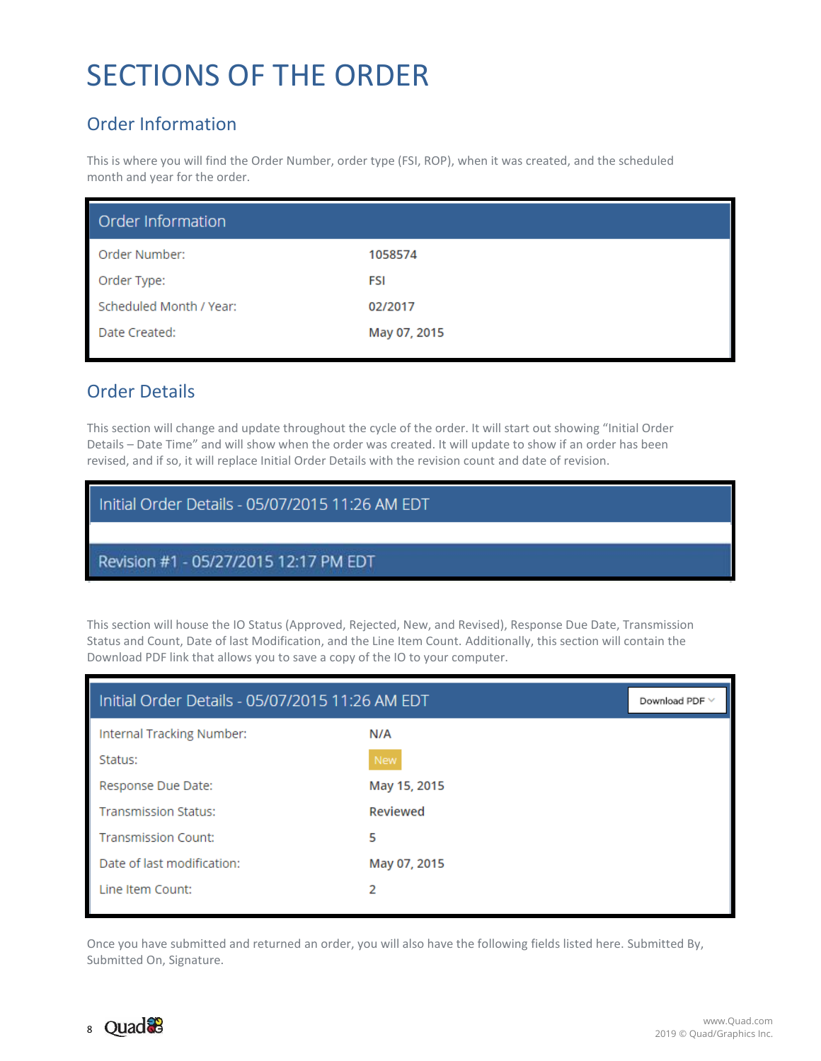# <span id="page-7-0"></span>SECTIONS OF THE ORDER

# <span id="page-7-1"></span>Order Information

This is where you will find the Order Number, order type (FSI, ROP), when it was created, and the scheduled month and year for the order.

| Order Information       |              |
|-------------------------|--------------|
| Order Number:           | 1058574      |
| Order Type:             | FSI          |
| Scheduled Month / Year: | 02/2017      |
| Date Created:           | May 07, 2015 |

### <span id="page-7-2"></span>Order Details

This section will change and update throughout the cycle of the order. It will start out showing "Initial Order Details – Date Time" and will show when the order was created. It will update to show if an order has been revised, and if so, it will replace Initial Order Details with the revision count and date of revision.

| Initial Order Details - 05/07/2015 11:26 AM EDT |
|-------------------------------------------------|
| Revision #1 - 05/27/2015 12:17 PM EDT           |

This section will house the IO Status (Approved, Rejected, New, and Revised), Response Due Date, Transmission Status and Count, Date of last Modification, and the Line Item Count. Additionally, this section will contain the Download PDF link that allows you to save a copy of the IO to your computer.

| Initial Order Details - 05/07/2015 11:26 AM EDT | Download PDF $\vee$ |  |
|-------------------------------------------------|---------------------|--|
| Internal Tracking Number:                       | N/A                 |  |
| Status:                                         | <b>New</b>          |  |
| Response Due Date:                              | May 15, 2015        |  |
| <b>Transmission Status:</b>                     | Reviewed            |  |
| <b>Transmission Count:</b>                      | 5                   |  |
| Date of last modification:                      | May 07, 2015        |  |
| Line Item Count:                                | 2                   |  |

Once you have submitted and returned an order, you will also have the following fields listed here. Submitted By, Submitted On, Signature.

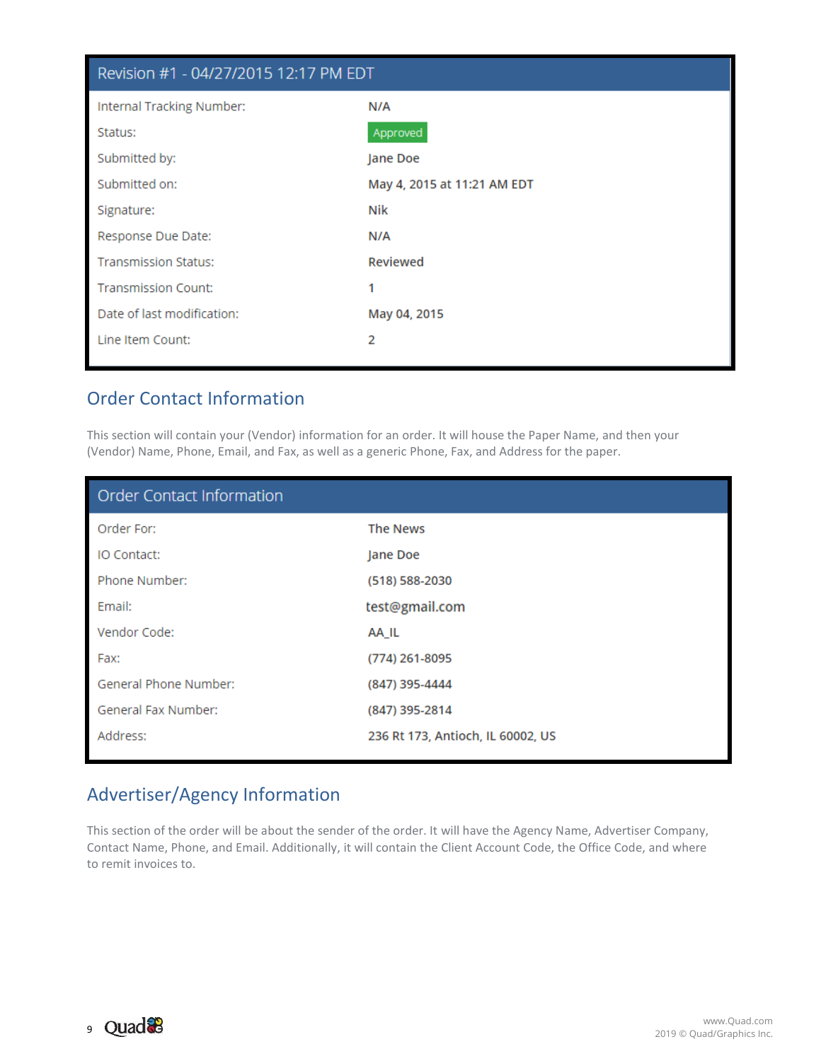| Revision #1 - 04/27/2015 12:17 PM EDT |                             |  |  |  |  |  |
|---------------------------------------|-----------------------------|--|--|--|--|--|
| Internal Tracking Number:             | N/A                         |  |  |  |  |  |
| Status:                               | Approved                    |  |  |  |  |  |
| Submitted by:                         | Jane Doe                    |  |  |  |  |  |
| Submitted on:                         | May 4, 2015 at 11:21 AM EDT |  |  |  |  |  |
| Signature:                            | Nik                         |  |  |  |  |  |
| Response Due Date:                    | N/A                         |  |  |  |  |  |
| <b>Transmission Status:</b>           | Reviewed                    |  |  |  |  |  |
| <b>Transmission Count:</b>            | 1                           |  |  |  |  |  |
| Date of last modification:            | May 04, 2015                |  |  |  |  |  |
| Line Item Count:                      | 2                           |  |  |  |  |  |

### <span id="page-8-0"></span>Order Contact Information

This section will contain your (Vendor) information for an order. It will house the Paper Name, and then your (Vendor) Name, Phone, Email, and Fax, as well as a generic Phone, Fax, and Address for the paper.

| <b>Order Contact Information</b> |                                   |
|----------------------------------|-----------------------------------|
| Order For:                       | <b>The News</b>                   |
| IO Contact:                      | Jane Doe                          |
| Phone Number:                    | (518) 588-2030                    |
| Email:                           | test@gmail.com                    |
| Vendor Code:                     | AA_IL                             |
| Fax:                             | (774) 261-8095                    |
| General Phone Number:            | (847) 395-4444                    |
| General Fax Number:              | (847) 395-2814                    |
| Address:                         | 236 Rt 173, Antioch, IL 60002, US |
|                                  |                                   |

# <span id="page-8-1"></span>Advertiser/Agency Information

This section of the order will be about the sender of the order. It will have the Agency Name, Advertiser Company, Contact Name, Phone, and Email. Additionally, it will contain the Client Account Code, the Office Code, and where to remit invoices to.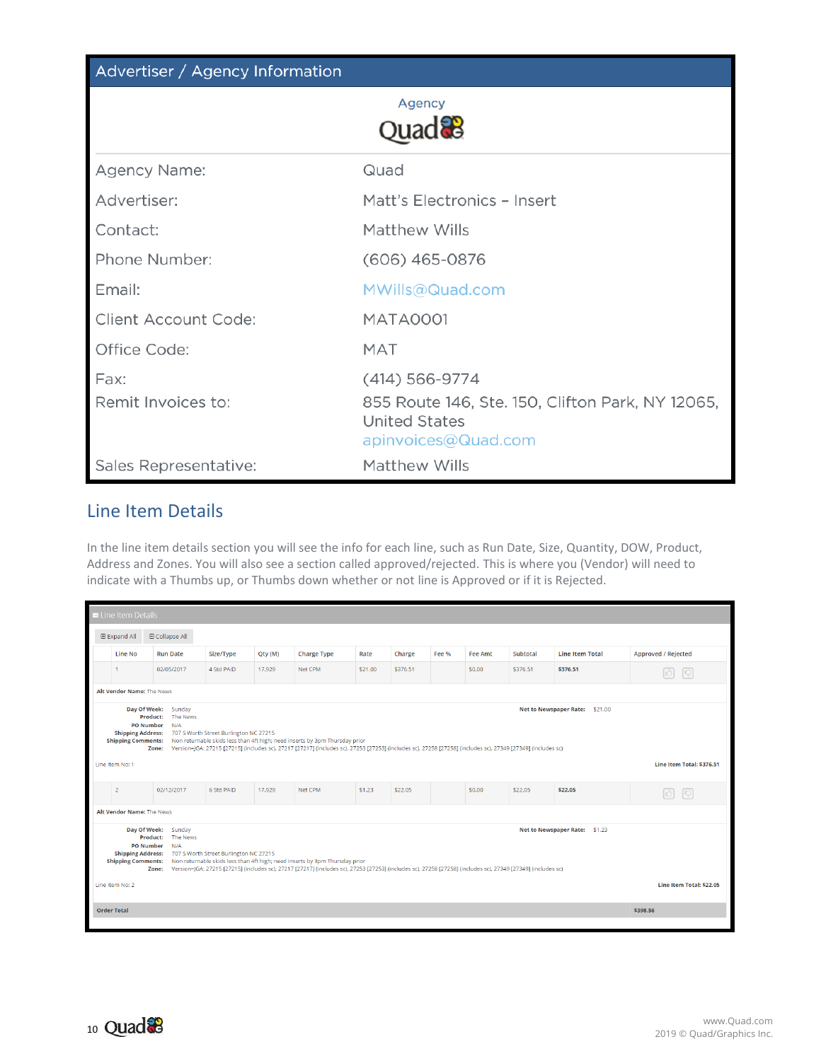| Advertiser / Agency Information |                                                                                                                       |
|---------------------------------|-----------------------------------------------------------------------------------------------------------------------|
|                                 | Agency<br>$OU$ and $23$                                                                                               |
| Agency Name:                    | Quad                                                                                                                  |
| Advertiser:                     | Matt's Electronics - Insert                                                                                           |
| Contact:                        | Matthew Wills                                                                                                         |
| Phone Number:                   | $(606)$ 465-0876                                                                                                      |
| Email:                          | MWills@Quad.com                                                                                                       |
| <b>Client Account Code:</b>     | <b>MATA0001</b>                                                                                                       |
| Office Code:                    | <b>MAT</b>                                                                                                            |
| Fax:<br>Remit Invoices to:      | $(414) 566 - 9774$<br>855 Route 146, Ste. 150, Clifton Park, NY 12065,<br><b>United States</b><br>apinvoices@Quad.com |
| Sales Representative:           | Matthew Wills                                                                                                         |

#### <span id="page-9-0"></span>Line Item Details

In the line item details section you will see the info for each line, such as Run Date, Size, Quantity, DOW, Product, Address and Zones. You will also see a section called approved/rejected. This is where you (Vendor) will need to indicate with a Thumbs up, or Thumbs down whether or not line is Approved or if it is Rejected.

| <b>ELine Item Details</b>                                                                                                                                                                                                                                                                                                                                                                                                                                              |                 |            |         |                    |         |          |                  |         |          |                        |                           |
|------------------------------------------------------------------------------------------------------------------------------------------------------------------------------------------------------------------------------------------------------------------------------------------------------------------------------------------------------------------------------------------------------------------------------------------------------------------------|-----------------|------------|---------|--------------------|---------|----------|------------------|---------|----------|------------------------|---------------------------|
| <b>Expand All</b>                                                                                                                                                                                                                                                                                                                                                                                                                                                      | □ Collapse All  |            |         |                    |         |          |                  |         |          |                        |                           |
| Line No                                                                                                                                                                                                                                                                                                                                                                                                                                                                | <b>Run Date</b> | Size/Type  | Qty (M) | <b>Charge Type</b> | Rate    | Charge   | Fee <sub>%</sub> | Fee Amt | Subtotal | <b>Line Item Total</b> | Approved / Rejected       |
|                                                                                                                                                                                                                                                                                                                                                                                                                                                                        | 02/05/2017      | 4 Std PAID | 17.929  | Net CPM            | \$21.00 | \$376.51 |                  | \$0.00  | \$376.51 | \$376.51               | $ \mathcal{O} $           |
| Alt Vendor Name: The News                                                                                                                                                                                                                                                                                                                                                                                                                                              |                 |            |         |                    |         |          |                  |         |          |                        |                           |
| Day Of Week:<br>Sunday<br>Net to Newspaper Rate: \$21.00<br>The News<br>Product:<br><b>PO Number</b><br>N/A<br><b>Shipping Address:</b><br>707 S Worth Street Burlington NC 27215<br>Non returnable skids less than 4ft high; need inserts by 3pm Thursday prior<br><b>Shipping Comments:</b><br>Version=JGA: 27215 [27215] (includes sc), 27217 [27217] (includes sc), 27253 [27253] (includes sc), 27258 [27258] (includes sc), 27349 [27349] (includes sc)<br>Zone: |                 |            |         |                    |         |          |                  |         |          |                        |                           |
| Line Item No: 1                                                                                                                                                                                                                                                                                                                                                                                                                                                        |                 |            |         |                    |         |          |                  |         |          |                        | Line Item Total: \$376.51 |
| $\overline{2}$                                                                                                                                                                                                                                                                                                                                                                                                                                                         | 02/12/2017      | 6 Std PAID | 17.929  | Net CPM            | \$1,23  | \$22.05  |                  | \$0.00  | \$22.05  | \$22.05                | 6   19                    |
| Alt Vendor Name: The News                                                                                                                                                                                                                                                                                                                                                                                                                                              |                 |            |         |                    |         |          |                  |         |          |                        |                           |
| Day Of Week:<br>Sunday<br>Net to Newspaper Rate: \$1.23<br>The News<br>Product:<br><b>PO Number</b><br>N/A<br><b>Shipping Address:</b><br>707 S Worth Street Burlington NC 27215<br><b>Shipping Comments:</b><br>Non returnable skids less than 4ft high; need inserts by 3pm Thursday prior<br>Version=JGA: 27215 [27215] (includes sc), 27217 [27217] (includes sc), 27253 [27253] (includes sc), 27258 [27258] (includes sc), 27349 [27349] (includes sc)<br>Zone:  |                 |            |         |                    |         |          |                  |         |          |                        |                           |
| Line Item Total: \$22.05<br>Line Item No: 2                                                                                                                                                                                                                                                                                                                                                                                                                            |                 |            |         |                    |         |          |                  |         |          |                        |                           |
| <b>Order Total</b>                                                                                                                                                                                                                                                                                                                                                                                                                                                     |                 |            |         |                    |         |          |                  |         |          |                        | \$398.56                  |
|                                                                                                                                                                                                                                                                                                                                                                                                                                                                        |                 |            |         |                    |         |          |                  |         |          |                        |                           |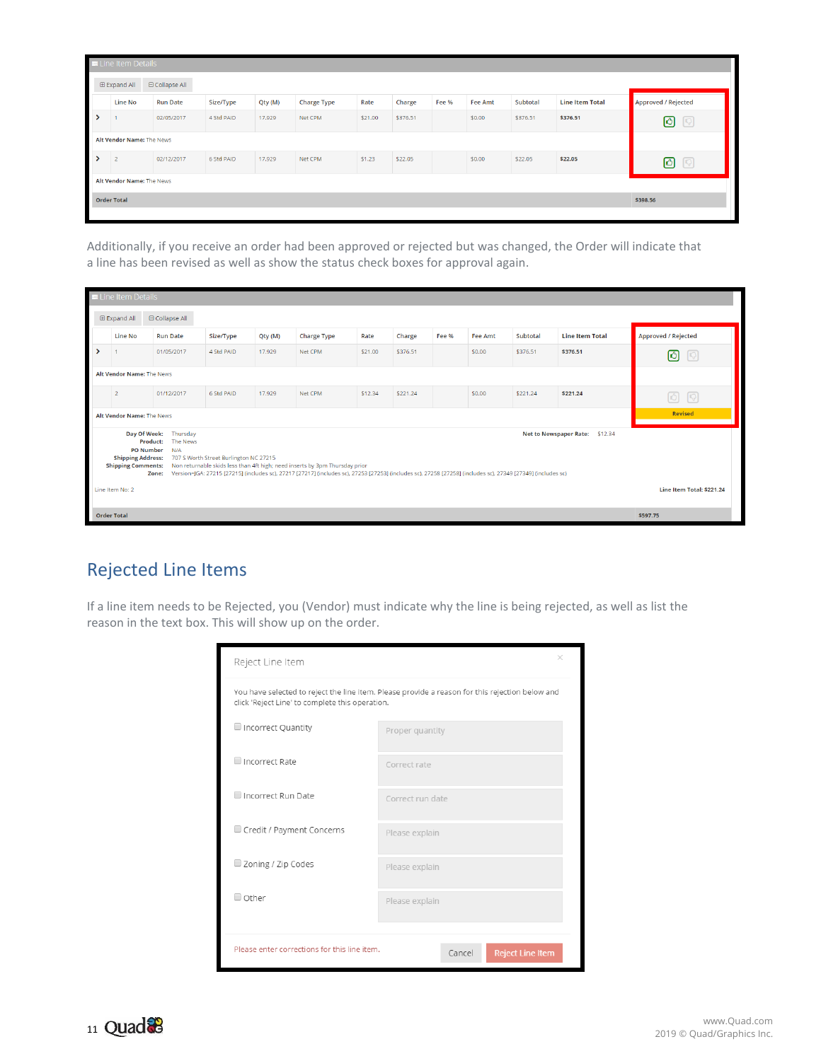|               | <b>ELine Item Details</b>           |                 |            |         |                    |         |          |       |         |          |                        |                                                |
|---------------|-------------------------------------|-----------------|------------|---------|--------------------|---------|----------|-------|---------|----------|------------------------|------------------------------------------------|
|               | □ Collapse All<br><b>Expand All</b> |                 |            |         |                    |         |          |       |         |          |                        |                                                |
|               | Line No                             | <b>Run Date</b> | Size/Type  | Qty (M) | <b>Charge Type</b> | Rate    | Charge   | Fee % | Fee Amt | Subtotal | <b>Line Item Total</b> | Approved / Rejected                            |
| $\rightarrow$ |                                     | 02/05/2017      | 4 Std PAID | 17,929  | Net CPM            | \$21.00 | \$376.51 |       | \$0.00  | \$376.51 | \$376.51               | $\begin{bmatrix} 1 & 1 \\ 0 & 1 \end{bmatrix}$ |
|               | Alt Vendor Name: The News           |                 |            |         |                    |         |          |       |         |          |                        |                                                |
| $\rightarrow$ | $\overline{2}$                      | 02/12/2017      | 6 Std PAID | 17,929  | Net CPM            | \$1.23  | \$22.05  |       | \$0.00  | \$22.05  | \$22.05                | ര<br>$\Theta$                                  |
|               | Alt Vendor Name: The News           |                 |            |         |                    |         |          |       |         |          |                        |                                                |
|               | <b>Order Total</b>                  |                 |            |         |                    |         |          |       |         | \$398.56 |                        |                                                |
|               |                                     |                 |            |         |                    |         |          |       |         |          |                        |                                                |

Additionally, if you receive an order had been approved or rejected but was changed, the Order will indicate that a line has been revised as well as show the status check boxes for approval again.

|                 | <b>ELine Item Details</b>                                                                                                                                                                                                                                                                                                                                                                                                                                                       |                 |            |         |                    |         |          |       |                |          |                        |                                 |
|-----------------|---------------------------------------------------------------------------------------------------------------------------------------------------------------------------------------------------------------------------------------------------------------------------------------------------------------------------------------------------------------------------------------------------------------------------------------------------------------------------------|-----------------|------------|---------|--------------------|---------|----------|-------|----------------|----------|------------------------|---------------------------------|
|                 | <b>Expand All</b><br>□ Collapse All                                                                                                                                                                                                                                                                                                                                                                                                                                             |                 |            |         |                    |         |          |       |                |          |                        |                                 |
|                 | Line No                                                                                                                                                                                                                                                                                                                                                                                                                                                                         | <b>Run Date</b> | Size/Type  | Qty (M) | <b>Charge Type</b> | Rate    | Charge   | Fee % | <b>Fee Amt</b> | Subtotal | <b>Line Item Total</b> | Approved / Rejected             |
| ↘               |                                                                                                                                                                                                                                                                                                                                                                                                                                                                                 | 01/05/2017      | 4 Std PAID | 17,929  | Net CPM            | \$21.00 | \$376.51 |       | \$0.00         | \$376.51 | \$376.51               | ര<br>$\lceil \mathbb{Q} \rceil$ |
|                 | Alt Vendor Name: The News                                                                                                                                                                                                                                                                                                                                                                                                                                                       |                 |            |         |                    |         |          |       |                |          |                        |                                 |
|                 | $\overline{2}$                                                                                                                                                                                                                                                                                                                                                                                                                                                                  | 01/12/2017      | 6 Std PAID | 17,929  | Net CPM            | \$12.34 | \$221.24 |       | \$0,00         | \$221.24 | \$221.24               | □ □                             |
|                 | Alt Vendor Name: The News                                                                                                                                                                                                                                                                                                                                                                                                                                                       |                 |            |         |                    |         |          |       |                |          |                        | Revised                         |
| Line Item No: 2 | Day Of Week:<br>Thursday<br>Net to Newspaper Rate: \$12.34<br><b>Product:</b><br>The News<br><b>PO Number</b><br>N/A<br><b>Shipping Address:</b><br>707 S Worth Street Burlington NC 27215<br>Non returnable skids less than 4ft high; need inserts by 3pm Thursday prior<br><b>Shipping Comments:</b><br>Version=JGA: 27215 [27215] (includes sc), 27217 [27217] (includes sc), 27253 [27253] (includes sc), 27258 [27258] (includes sc), 27349 [27349] (includes sc)<br>Zone: |                 |            |         |                    |         |          |       |                |          |                        |                                 |
|                 |                                                                                                                                                                                                                                                                                                                                                                                                                                                                                 |                 |            |         |                    |         |          |       |                |          |                        | Line Item Total: \$221.24       |
|                 | <b>Order Total</b>                                                                                                                                                                                                                                                                                                                                                                                                                                                              |                 |            |         |                    |         |          |       |                |          |                        | \$597.75                        |

# <span id="page-10-0"></span>Rejected Line Items

If a line item needs to be Rejected, you (Vendor) must indicate why the line is being rejected, as well as list the reason in the text box. This will show up on the order.

| Reject Line Item                                                                                                                                   | $\times$                          |  |  |  |  |  |  |
|----------------------------------------------------------------------------------------------------------------------------------------------------|-----------------------------------|--|--|--|--|--|--|
| You have selected to reject the line item. Please provide a reason for this rejection below and<br>click 'Reject Line' to complete this operation. |                                   |  |  |  |  |  |  |
| Incorrect Quantity                                                                                                                                 | Proper quantity                   |  |  |  |  |  |  |
| Incorrect Rate                                                                                                                                     | Correct rate                      |  |  |  |  |  |  |
| Incorrect Run Date                                                                                                                                 | Correct run date                  |  |  |  |  |  |  |
| Credit / Payment Concerns                                                                                                                          | Please explain                    |  |  |  |  |  |  |
| Zoning / Zip Codes                                                                                                                                 | Please explain                    |  |  |  |  |  |  |
| O Other                                                                                                                                            | Please explain                    |  |  |  |  |  |  |
|                                                                                                                                                    |                                   |  |  |  |  |  |  |
| Please enter corrections for this line item.                                                                                                       | <b>Reject Line Item</b><br>Cancel |  |  |  |  |  |  |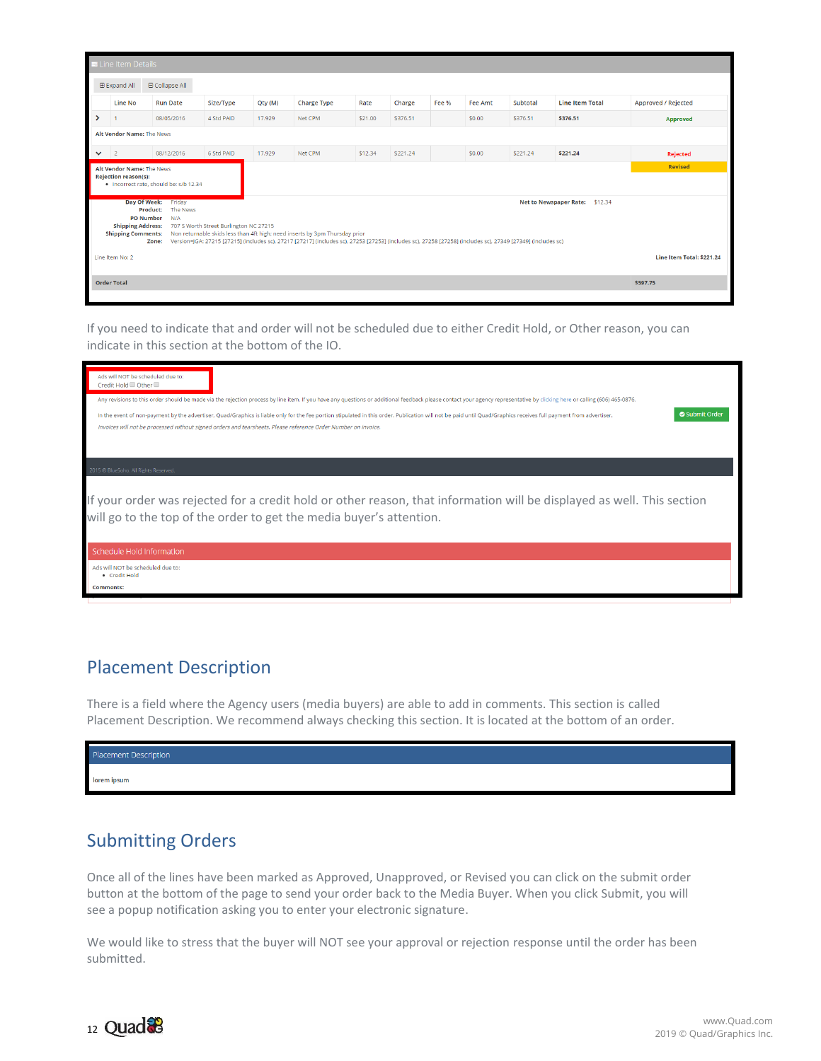|              | <b>E</b> Line Item Details                   |                                        |                                        |         |                                                                                                                                                                                                                                             |         |          |                  |         |          |                                          |                            |
|--------------|----------------------------------------------|----------------------------------------|----------------------------------------|---------|---------------------------------------------------------------------------------------------------------------------------------------------------------------------------------------------------------------------------------------------|---------|----------|------------------|---------|----------|------------------------------------------|----------------------------|
|              | <b>E Expand All</b>                          | □ Collapse All                         |                                        |         |                                                                                                                                                                                                                                             |         |          |                  |         |          |                                          |                            |
|              | Line No                                      | <b>Run Date</b>                        | Size/Type                              | Qty (M) | <b>Charge Type</b>                                                                                                                                                                                                                          | Rate    | Charge   | Fee <sub>%</sub> | Fee Amt | Subtotal | <b>Line Item Total</b>                   | <b>Approved / Rejected</b> |
| ⋗            |                                              | 08/05/2016                             | 4 Std PAID                             | 17.929  | Net CPM                                                                                                                                                                                                                                     | \$21.00 | \$376.51 |                  | \$0.00  | \$376.51 | \$376.51                                 | Approved                   |
|              | Alt Vendor Name: The News                    |                                        |                                        |         |                                                                                                                                                                                                                                             |         |          |                  |         |          |                                          |                            |
| $\checkmark$ | $\overline{2}$                               | 08/12/2016                             | 6 Std PAID                             | 17.929  | Net CPM                                                                                                                                                                                                                                     | \$12.34 | \$221.24 |                  | \$0.00  | \$221.24 | \$221.24                                 | Rejected                   |
|              | <b>Revised</b><br>Alt Vendor Name: The News  |                                        |                                        |         |                                                                                                                                                                                                                                             |         |          |                  |         |          |                                          |                            |
|              | <b>Rejection reason(s):</b>                  | . Incorrect rate, should be: s/b 12.34 |                                        |         |                                                                                                                                                                                                                                             |         |          |                  |         |          |                                          |                            |
|              | Day Of Week:<br>Product:                     | Friday<br>The News                     |                                        |         |                                                                                                                                                                                                                                             |         |          |                  |         |          | <b>Net to Newspaper Rate:</b><br>\$12.34 |                            |
|              | <b>PO Number</b><br><b>Shipping Address:</b> | N/A                                    | 707 S Worth Street Burlington NC 27215 |         |                                                                                                                                                                                                                                             |         |          |                  |         |          |                                          |                            |
|              | <b>Shipping Comments:</b>                    | Zone:                                  |                                        |         | Non returnable skids less than 4ft high; need inserts by 3pm Thursday prior<br>Version=JGA: 27215 [27215] (includes sc), 27217 [27217] (includes sc), 27253 [27253] (includes sc), 27258 [27258] (includes sc), 27349 [27349] (includes sc) |         |          |                  |         |          |                                          |                            |
|              |                                              |                                        |                                        |         |                                                                                                                                                                                                                                             |         |          |                  |         |          |                                          |                            |
|              | Line Item No: 2                              |                                        |                                        |         |                                                                                                                                                                                                                                             |         |          |                  |         |          |                                          | Line Item Total: \$221.24  |
|              | <b>Order Total</b>                           |                                        |                                        |         |                                                                                                                                                                                                                                             |         |          |                  |         |          |                                          | \$597.75                   |
|              |                                              |                                        |                                        |         |                                                                                                                                                                                                                                             |         |          |                  |         |          |                                          |                            |

If you need to indicate that and order will not be scheduled due to either Credit Hold, or Other reason, you can indicate in this section at the bottom of the IO.

| Ads will NOT be scheduled due to:<br>Credit Hold Other<br>Any revisions to this order should be made via the rejection process by line item. If you have any questions or additional feedback please contact your agency representative by clicking here or calling (606) 465-0876.<br>Submit Order<br>In the event of non-payment by the advertiser, Quad/Graphics is liable only for the fee portion stipulated in this order. Publication will not be paid until Quad/Graphics receives full payment from advertiser.<br>Invoices will not be processed without signed orders and tearsheets. Please reference Order Number on invoice. |  |
|--------------------------------------------------------------------------------------------------------------------------------------------------------------------------------------------------------------------------------------------------------------------------------------------------------------------------------------------------------------------------------------------------------------------------------------------------------------------------------------------------------------------------------------------------------------------------------------------------------------------------------------------|--|
| 2015 C BlueSoho, All Rights Reserved.<br>If your order was rejected for a credit hold or other reason, that information will be displayed as well. This section<br>will go to the top of the order to get the media buyer's attention.                                                                                                                                                                                                                                                                                                                                                                                                     |  |
| Schedule Hold Information                                                                                                                                                                                                                                                                                                                                                                                                                                                                                                                                                                                                                  |  |
| Ads will NOT be scheduled due to:<br>· Credit Hold<br><b>Comments:</b>                                                                                                                                                                                                                                                                                                                                                                                                                                                                                                                                                                     |  |

#### <span id="page-11-0"></span>Placement Description

There is a field where the Agency users (media buyers) are able to add in comments. This section is called Placement Description. We recommend always checking this section. It is located at the bottom of an order.

| Placement Description |  |
|-----------------------|--|
| lorem ipsum           |  |

#### <span id="page-11-1"></span>Submitting Orders

Once all of the lines have been marked as Approved, Unapproved, or Revised you can click on the submit order button at the bottom of the page to send your order back to the Media Buyer. When you click Submit, you will see a popup notification asking you to enter your electronic signature.

We would like to stress that the buyer will NOT see your approval or rejection response until the order has been submitted.

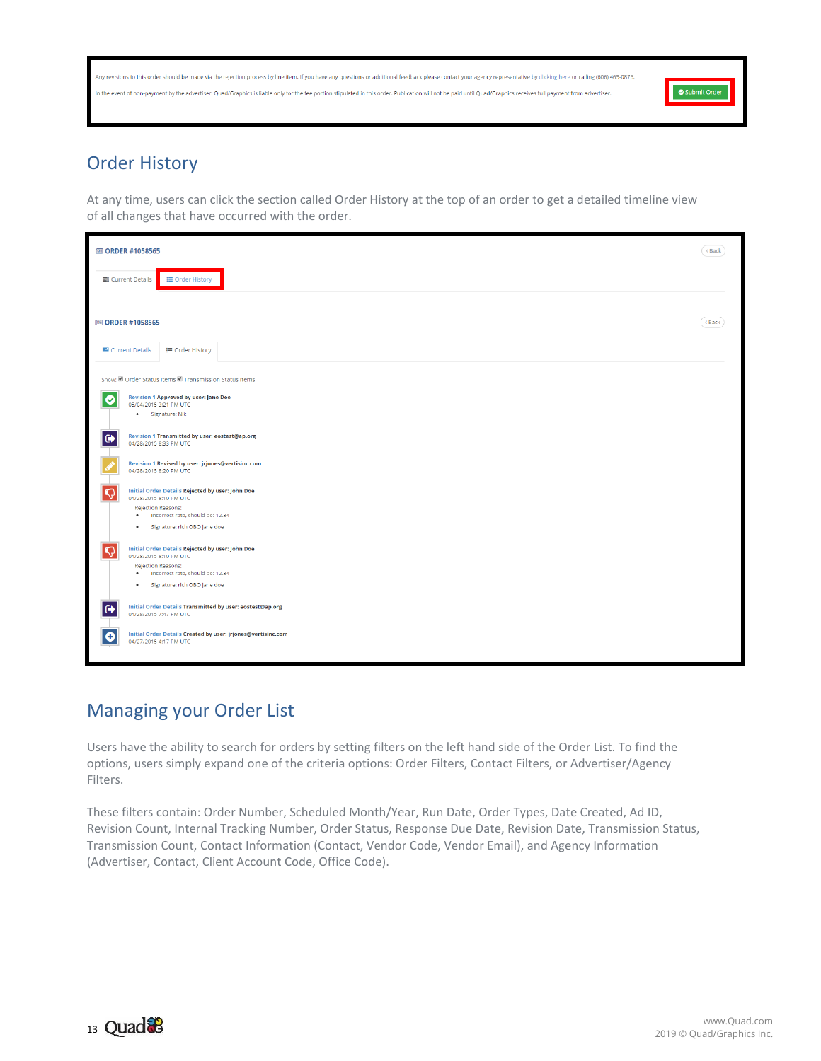| Any revisions to this order should be made via the rejection process by line item. If you have any questions or additional feedback please contact your agency representative by clicking here or calling (606) 465-0876.<br>In the event of non-payment by the advertiser, Quad/Graphics is liable only for the fee portion stipulated in this order. Publication will not be paid until Quad/Graphics receives full payment from advertiser. | Submit Order |
|------------------------------------------------------------------------------------------------------------------------------------------------------------------------------------------------------------------------------------------------------------------------------------------------------------------------------------------------------------------------------------------------------------------------------------------------|--------------|
|------------------------------------------------------------------------------------------------------------------------------------------------------------------------------------------------------------------------------------------------------------------------------------------------------------------------------------------------------------------------------------------------------------------------------------------------|--------------|

### <span id="page-12-0"></span>Order History

At any time, users can click the section called Order History at the top of an order to get a detailed timeline view of all changes that have occurred with the order.

| <b>图 ORDER #1058565</b>                                                                                        | < Back |
|----------------------------------------------------------------------------------------------------------------|--------|
| ■ Current Details<br><b>I≡ Order History</b>                                                                   |        |
| <b>图 ORDER #1058565</b>                                                                                        | < Back |
| Current Details<br><b>IE Order History</b>                                                                     |        |
| Show: ■ Order Status Items ■ Transmission Status Items                                                         |        |
| <b>Revision 1 Approved by user: Jane Doe</b><br>Ø<br>05/04/2015 3:21 PM UTC                                    |        |
| · Signature: Nik                                                                                               |        |
| Revision 1 Transmitted by user: eostest@ap.org<br>$\bullet$<br>04/28/2015 8:33 PM UTC                          |        |
| Revision 1 Revised by user: jrjones@vertisinc.com<br>04/28/2015 8:20 PM UTC                                    |        |
| <b>Initial Order Details Rejected by user: John Doe</b><br>04/28/2015 8:10 PM UTC<br><b>Rejection Reasons:</b> |        |
| · Incorrect rate, should be: 12.34                                                                             |        |
| Signature: rich OBO jane doe<br>$\bullet$                                                                      |        |
| <b>Initial Order Details Rejected by user: John Doe</b><br>04/28/2015 8:10 PM UTC                              |        |
| Rejection Reasons:<br>Incorrect rate, should be: 12.34<br>$\bullet$                                            |        |
| · Signature: rich OBO jane doe                                                                                 |        |
| Initial Order Details Transmitted by user: eostest@ap.org<br>04/28/2015 7:47 PM UTC                            |        |
| Initial Order Details Created by user: jrjones@vertisinc.com<br>O<br>04/27/2015 4:17 PM UTC                    |        |

#### <span id="page-12-1"></span>Managing your Order List

Users have the ability to search for orders by setting filters on the left hand side of the Order List. To find the options, users simply expand one of the criteria options: Order Filters, Contact Filters, or Advertiser/Agency Filters.

These filters contain: Order Number, Scheduled Month/Year, Run Date, Order Types, Date Created, Ad ID, Revision Count, Internal Tracking Number, Order Status, Response Due Date, Revision Date, Transmission Status, Transmission Count, Contact Information (Contact, Vendor Code, Vendor Email), and Agency Information (Advertiser, Contact, Client Account Code, Office Code).